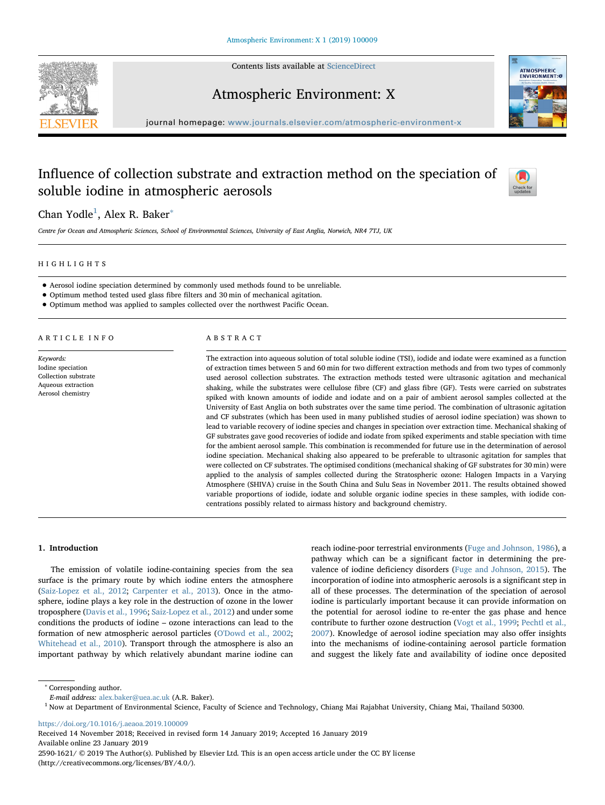Contents lists available at [ScienceDirect](http://www.sciencedirect.com/science/journal/25901621)





Atmospheric Environment: X

journal homepage: [www.journals.elsevier.com/atmospheric-environment-x](https://www.journals.elsevier.com/atmospheric-environment-x)

# Influence of collection substrate and extraction method on the speciation of soluble iodine in atmospheric aerosols



# Chan Yodle<sup>[1](#page-0-0)</sup>, Alex R. Baker<sup>\*</sup>

Centre for Ocean and Atmospheric Sciences, School of Environmental Sciences, University of East Anglia, Norwich, NR4 7TJ, UK

#### HIGHLIGHTS

- Aerosol iodine speciation determined by commonly used methods found to be unreliable.
- Optimum method tested used glass fibre filters and 30 min of mechanical agitation.
- Optimum method was applied to samples collected over the northwest Pacific Ocean.

ARTICLE INFO

Keywords: Iodine speciation Collection substrate Aqueous extraction Aerosol chemistry

# ABSTRACT

The extraction into aqueous solution of total soluble iodine (TSI), iodide and iodate were examined as a function of extraction times between 5 and 60 min for two different extraction methods and from two types of commonly used aerosol collection substrates. The extraction methods tested were ultrasonic agitation and mechanical shaking, while the substrates were cellulose fibre (CF) and glass fibre (GF). Tests were carried on substrates spiked with known amounts of iodide and iodate and on a pair of ambient aerosol samples collected at the University of East Anglia on both substrates over the same time period. The combination of ultrasonic agitation and CF substrates (which has been used in many published studies of aerosol iodine speciation) was shown to lead to variable recovery of iodine species and changes in speciation over extraction time. Mechanical shaking of GF substrates gave good recoveries of iodide and iodate from spiked experiments and stable speciation with time for the ambient aerosol sample. This combination is recommended for future use in the determination of aerosol iodine speciation. Mechanical shaking also appeared to be preferable to ultrasonic agitation for samples that were collected on CF substrates. The optimised conditions (mechanical shaking of GF substrates for 30 min) were applied to the analysis of samples collected during the Stratospheric ozone: Halogen Impacts in a Varying Atmosphere (SHIVA) cruise in the South China and Sulu Seas in November 2011. The results obtained showed variable proportions of iodide, iodate and soluble organic iodine species in these samples, with iodide concentrations possibly related to airmass history and background chemistry.

#### 1. Introduction

The emission of volatile iodine-containing species from the sea surface is the primary route by which iodine enters the atmosphere ([Saiz-Lopez et al., 2012;](#page-6-0) [Carpenter et al., 2013](#page-6-1)). Once in the atmosphere, iodine plays a key role in the destruction of ozone in the lower troposphere ([Davis et al., 1996](#page-6-2); [Saiz-Lopez et al., 2012](#page-6-0)) and under some conditions the products of iodine – ozone interactions can lead to the formation of new atmospheric aerosol particles ([O'Dowd et al., 2002](#page-6-3); [Whitehead et al., 2010](#page-6-4)). Transport through the atmosphere is also an important pathway by which relatively abundant marine iodine can

reach iodine-poor terrestrial environments ([Fuge and Johnson, 1986](#page-6-5)), a pathway which can be a significant factor in determining the prevalence of iodine deficiency disorders [\(Fuge and Johnson, 2015](#page-6-6)). The incorporation of iodine into atmospheric aerosols is a significant step in all of these processes. The determination of the speciation of aerosol iodine is particularly important because it can provide information on the potential for aerosol iodine to re-enter the gas phase and hence contribute to further ozone destruction ([Vogt et al., 1999;](#page-6-7) [Pechtl et al.,](#page-6-8) [2007\)](#page-6-8). Knowledge of aerosol iodine speciation may also offer insights into the mechanisms of iodine-containing aerosol particle formation and suggest the likely fate and availability of iodine once deposited

<span id="page-0-1"></span><sup>∗</sup> Corresponding author.

<https://doi.org/10.1016/j.aeaoa.2019.100009>

Received 14 November 2018; Received in revised form 14 January 2019; Accepted 16 January 2019 Available online 23 January 2019 2590-1621/ © 2019 The Author(s). Published by Elsevier Ltd. This is an open access article under the CC BY license (http://creativecommons.org/licenses/BY/4.0/).

E-mail address: [alex.baker@uea.ac.uk](mailto:alex.baker@uea.ac.uk) (A.R. Baker).

<span id="page-0-0"></span> $1$  Now at Department of Environmental Science, Faculty of Science and Technology, Chiang Mai Rajabhat University, Chiang Mai, Thailand 50300.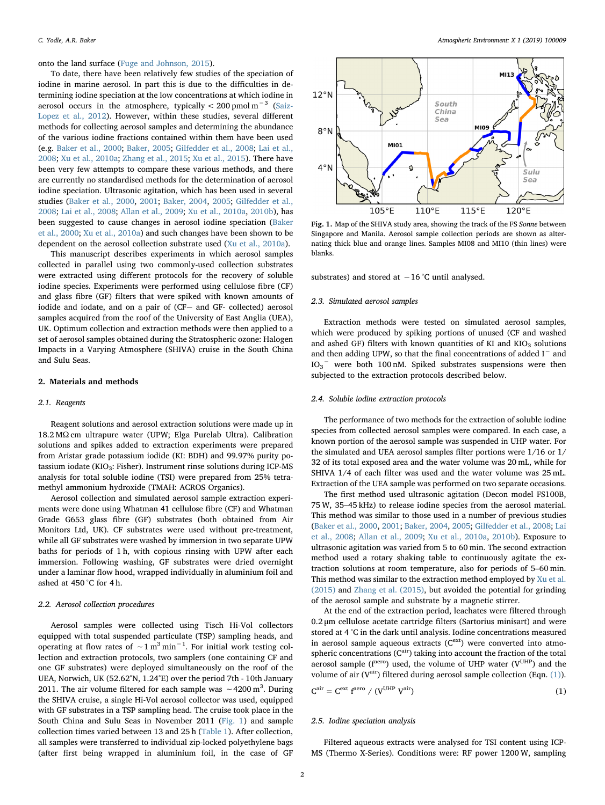onto the land surface ([Fuge and Johnson, 2015](#page-6-6)).

To date, there have been relatively few studies of the speciation of iodine in marine aerosol. In part this is due to the difficulties in determining iodine speciation at the low concentrations at which iodine in aerosol occurs in the atmosphere, typically <  $200$  pmol m $^{-3}\,$  ([Saiz-](#page-6-0)[Lopez et al., 2012\)](#page-6-0). However, within these studies, several different methods for collecting aerosol samples and determining the abundance of the various iodine fractions contained within them have been used (e.g. [Baker et al., 2000;](#page-5-0) [Baker, 2005](#page-6-9); [Gilfedder et al., 2008;](#page-6-10) [Lai et al.,](#page-6-11) [2008;](#page-6-11) [Xu et al., 2010a](#page-6-12); [Zhang et al., 2015](#page-6-13); [Xu et al., 2015\)](#page-6-14). There have been very few attempts to compare these various methods, and there are currently no standardised methods for the determination of aerosol iodine speciation. Ultrasonic agitation, which has been used in several studies ([Baker et al., 2000](#page-5-0), [2001;](#page-6-15) [Baker, 2004](#page-6-16), [2005](#page-6-9); [Gilfedder et al.,](#page-6-10) [2008;](#page-6-10) [Lai et al., 2008](#page-6-11); [Allan et al., 2009;](#page-5-1) [Xu et al., 2010a,](#page-6-12) [2010b](#page-6-17)), has been suggested to cause changes in aerosol iodine speciation [\(Baker](#page-5-0) [et al., 2000;](#page-5-0) [Xu et al., 2010a](#page-6-12)) and such changes have been shown to be dependent on the aerosol collection substrate used ([Xu et al., 2010a\)](#page-6-12).

This manuscript describes experiments in which aerosol samples collected in parallel using two commonly-used collection substrates were extracted using different protocols for the recovery of soluble iodine species. Experiments were performed using cellulose fibre (CF) and glass fibre (GF) filters that were spiked with known amounts of iodide and iodate, and on a pair of (CF- and GF- collected) aerosol samples acquired from the roof of the University of East Anglia (UEA), UK. Optimum collection and extraction methods were then applied to a set of aerosol samples obtained during the Stratospheric ozone: Halogen Impacts in a Varying Atmosphere (SHIVA) cruise in the South China and Sulu Seas.

## 2. Materials and methods

#### 2.1. Reagents

Reagent solutions and aerosol extraction solutions were made up in 18.2 MΩ cm ultrapure water (UPW; Elga Purelab Ultra). Calibration solutions and spikes added to extraction experiments were prepared from Aristar grade potassium iodide (KI: BDH) and 99.97% purity potassium iodate (KIO<sub>3</sub>: Fisher). Instrument rinse solutions during ICP-MS analysis for total soluble iodine (TSI) were prepared from 25% tetramethyl ammonium hydroxide (TMAH: ACROS Organics).

Aerosol collection and simulated aerosol sample extraction experiments were done using Whatman 41 cellulose fibre (CF) and Whatman Grade G653 glass fibre (GF) substrates (both obtained from Air Monitors Ltd, UK). CF substrates were used without pre-treatment, while all GF substrates were washed by immersion in two separate UPW baths for periods of 1 h, with copious rinsing with UPW after each immersion. Following washing, GF substrates were dried overnight under a laminar flow hood, wrapped individually in aluminium foil and ashed at 450 °C for 4 h.

#### 2.2. Aerosol collection procedures

Aerosol samples were collected using Tisch Hi-Vol collectors equipped with total suspended particulate (TSP) sampling heads, and operating at flow rates of  $\sim 1 \text{ m}^3 \text{min}^{-1}$ . For initial work testing collection and extraction protocols, two samplers (one containing CF and one GF substrates) were deployed simultaneously on the roof of the UEA, Norwich, UK (52.62°N, 1.24°E) over the period 7th - 10th January 2011. The air volume filtered for each sample was ~4200 m<sup>3</sup>. During the SHIVA cruise, a single Hi-Vol aerosol collector was used, equipped with GF substrates in a TSP sampling head. The cruise took place in the South China and Sulu Seas in November 2011 [\(Fig. 1\)](#page-1-0) and sample collection times varied between 13 and 25 h [\(Table 1\)](#page-2-0). After collection, all samples were transferred to individual zip-locked polyethylene bags (after first being wrapped in aluminium foil, in the case of GF

<span id="page-1-0"></span>

Fig. 1. Map of the SHIVA study area, showing the track of the FS Sonne between Singapore and Manila. Aerosol sample collection periods are shown as alternating thick blue and orange lines. Samples MI08 and MI10 (thin lines) were blanks.

substrates) and stored at −16 °C until analysed.

#### 2.3. Simulated aerosol samples

Extraction methods were tested on simulated aerosol samples, which were produced by spiking portions of unused (CF and washed and ashed GF) filters with known quantities of KI and  $KIO<sub>3</sub>$  solutions and then adding UPW, so that the final concentrations of added I<sup>−</sup> and IO<sub>3</sub><sup>-</sup> were both 100 nM. Spiked substrates suspensions were then subjected to the extraction protocols described below.

#### 2.4. Soluble iodine extraction protocols

The performance of two methods for the extraction of soluble iodine species from collected aerosol samples were compared. In each case, a known portion of the aerosol sample was suspended in UHP water. For the simulated and UEA aerosol samples filter portions were 1/16 or 1/ 32 of its total exposed area and the water volume was 20 mL, while for SHIVA 1/4 of each filter was used and the water volume was 25 mL. Extraction of the UEA sample was performed on two separate occasions.

The first method used ultrasonic agitation (Decon model FS100B, 75 W, 35–45 kHz) to release iodine species from the aerosol material. This method was similar to those used in a number of previous studies ([Baker et al., 2000,](#page-5-0) [2001](#page-6-15); [Baker, 2004](#page-6-16), [2005](#page-6-9); [Gilfedder et al., 2008;](#page-6-10) [Lai](#page-6-11) [et al., 2008](#page-6-11); [Allan et al., 2009](#page-5-1); [Xu et al., 2010a,](#page-6-12) [2010b](#page-6-17)). Exposure to ultrasonic agitation was varied from 5 to 60 min. The second extraction method used a rotary shaking table to continuously agitate the extraction solutions at room temperature, also for periods of 5–60 min. This method was similar to the extraction method employed by [Xu et al.](#page-6-14) [\(2015\)](#page-6-14) and [Zhang et al. \(2015\),](#page-6-13) but avoided the potential for grinding of the aerosol sample and substrate by a magnetic stirrer.

At the end of the extraction period, leachates were filtered through 0.2 μm cellulose acetate cartridge filters (Sartorius minisart) and were stored at 4 °C in the dark until analysis. Iodine concentrations measured in aerosol sample aqueous extracts  $(C^{ext})$  were converted into atmospheric concentrations  $(C^{air})$  taking into account the fraction of the total aerosol sample ( $f^{aero}$ ) used, the volume of UHP water ( $V^{UHP}$ ) and the volume of air ( $V^{air}$ ) filtered during aerosol sample collection (Eqn. [\(1\)](#page-1-1)).

<span id="page-1-1"></span>
$$
C^{\text{air}} = C^{\text{ext}} f^{\text{aero}} / (V^{\text{UHP}} V^{\text{air}})
$$
 (1)

#### 2.5. Iodine speciation analysis

Filtered aqueous extracts were analysed for TSI content using ICP-MS (Thermo X-Series). Conditions were: RF power 1200 W, sampling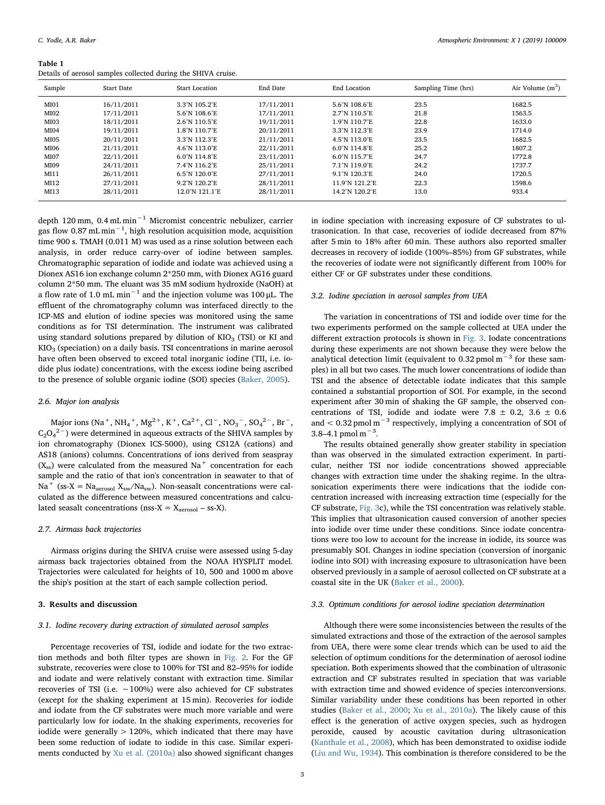<span id="page-2-0"></span>Details of aerosol samples collected during the SHIVA cruise.

|                 |                   | $\tilde{}$                         |            |                                    |                     |                    |
|-----------------|-------------------|------------------------------------|------------|------------------------------------|---------------------|--------------------|
| Sample          | <b>Start Date</b> | <b>Start Location</b>              | End Date   | End Location                       | Sampling Time (hrs) | Air Volume $(m^3)$ |
| <b>MI01</b>     | 16/11/2011        | 3.3°N 105.2°E                      | 17/11/2011 | 5.6°N 108.6°E                      | 23.5                | 1682.5             |
| MIO2            | 17/11/2011        | 5.6°N 108.6°E                      | 17/11/2011 | $2.7^{\circ}$ N 110.5 $^{\circ}$ E | 21.8                | 1563.5             |
| MI03            | 18/11/2011        | 2.6°N 110.5°E                      | 19/11/2011 | 1.9°N 110.7°E                      | 22.8                | 1633.0             |
| MI04            | 19/11/2011        | 1.8°N 110.7°E                      | 20/11/2011 | 3.3°N 112.3°E                      | 23.9                | 1714.0             |
| MI05            | 20/11/2011        | 3.3°N 112.3°E                      | 21/11/2011 | $4.5^{\circ}$ N 113.0 $^{\circ}$ E | 23.5                | 1682.5             |
| MI06            | 21/11/2011        | $4.6^{\circ}$ N 113.0 $^{\circ}$ E | 22/11/2011 | $6.0^{\circ}$ N 114.8 $^{\circ}$ E | 25.2                | 1807.2             |
| <b>MI07</b>     | 22/11/2011        | 6.0°N 114.8°E                      | 23/11/2011 | $6.0^{\circ}$ N 115.7 $^{\circ}$ E | 24.7                | 1772.8             |
| MI09            | 24/11/2011        | 7.4°N 116.2°E                      | 25/11/2011 | 7.1°N 119.0°E                      | 24.2                | 1737.7             |
| MI11            | 26/11/2011        | 6.5°N 120.0°E                      | 27/11/2011 | 9.1°N 120.3°E                      | 24.0                | 1720.5             |
| M <sub>12</sub> | 27/11/2011        | 9.2°N 120.2°E                      | 28/11/2011 | 11.9°N 121.2°E                     | 22.3                | 1598.6             |
| MI13            | 28/11/2011        | 12.0°N 121.1°E                     | 28/11/2011 | 14.2°N 120.2°E                     | 13.0                | 933.4              |
|                 |                   |                                    |            |                                    |                     |                    |

depth 120 mm, 0.4 mL min−<sup>1</sup> Micromist concentric nebulizer, carrier gas flow 0.87 mL min $^{-1}$ , high resolution acquisition mode, acquisition time 900 s. TMAH (0.011 M) was used as a rinse solution between each analysis, in order reduce carry-over of iodine between samples. Chromatographic separation of iodide and iodate was achieved using a Dionex AS16 ion exchange column 2\*250 mm, with Dionex AG16 guard column 2\*50 mm. The eluant was 35 mM sodium hydroxide (NaOH) at a flow rate of 1.0 mL min<sup>-1</sup> and the injection volume was 100 μL. The effluent of the chromatography column was interfaced directly to the ICP-MS and elution of iodine species was monitored using the same conditions as for TSI determination. The instrument was calibrated using standard solutions prepared by dilution of  $KIO<sub>3</sub>$  (TSI) or KI and  $KIO<sub>3</sub>$  (speciation) on a daily basis. TSI concentrations in marine aerosol have often been observed to exceed total inorganic iodine (TII, i.e. iodide plus iodate) concentrations, with the excess iodine being ascribed to the presence of soluble organic iodine (SOI) species [\(Baker, 2005](#page-6-9)).

#### 2.6. Major ion analysis

Major ions (Na<sup>+</sup>, NH<sub>4</sub><sup>+</sup>, Mg<sup>2+</sup>, K<sup>+</sup>, Ca<sup>2+</sup>, Cl<sup>-</sup>, NO<sub>3</sub><sup>-</sup>, SO<sub>4</sub><sup>2-</sup>, Br<sup>-</sup>,  $C_2O_4^2$ <sup>-</sup>) were determined in aqueous extracts of the SHIVA samples by ion chromatography (Dionex ICS-5000), using CS12A (cations) and AS18 (anions) columns. Concentrations of ions derived from seaspray  $(X_{ss})$  were calculated from the measured Na<sup>+</sup> concentration for each sample and the ratio of that ion's concentration in seawater to that of  $Na<sup>+</sup>$  (ss-X = Na<sub>aerosol</sub> X<sub>sw</sub>/Na<sub>sw</sub>). Non-seasalt concentrations were calculated as the difference between measured concentrations and calculated seasalt concentrations (nss- $X = X_{\text{aerosol}} - \text{ss-X}$ ).

#### 2.7. Airmass back trajectories

Airmass origins during the SHIVA cruise were assessed using 5-day airmass back trajectories obtained from the NOAA HYSPLIT model. Trajectories were calculated for heights of 10, 500 and 1000 m above the ship's position at the start of each sample collection period.

#### 3. Results and discussion

#### 3.1. Iodine recovery during extraction of simulated aerosol samples

Percentage recoveries of TSI, iodide and iodate for the two extraction methods and both filter types are shown in [Fig. 2](#page-3-0). For the GF substrate, recoveries were close to 100% for TSI and 82–95% for iodide and iodate and were relatively constant with extraction time. Similar recoveries of TSI (i.e. ∼100%) were also achieved for CF substrates (except for the shaking experiment at 15 min). Recoveries for iodide and iodate from the CF substrates were much more variable and were particularly low for iodate. In the shaking experiments, recoveries for iodide were generally  $> 120\%$ , which indicated that there may have been some reduction of iodate to iodide in this case. Similar experiments conducted by [Xu et al. \(2010a\)](#page-6-12) also showed significant changes

in iodine speciation with increasing exposure of CF substrates to ultrasonication. In that case, recoveries of iodide decreased from 87% after 5 min to 18% after 60 min. These authors also reported smaller decreases in recovery of iodide (100%–85%) from GF substrates, while the recoveries of iodate were not significantly different from 100% for either CF or GF substrates under these conditions.

#### 3.2. Iodine speciation in aerosol samples from UEA

The variation in concentrations of TSI and iodide over time for the two experiments performed on the sample collected at UEA under the different extraction protocols is shown in [Fig. 3](#page-3-1). Iodate concentrations during these experiments are not shown because they were below the analytical detection limit (equivalent to 0.32 pmol  $m^{-3}$  for these samples) in all but two cases. The much lower concentrations of iodide than TSI and the absence of detectable iodate indicates that this sample contained a substantial proportion of SOI. For example, in the second experiment after 30 min of shaking the GF sample, the observed concentrations of TSI, iodide and iodate were 7.8  $\pm$  0.2, 3.6  $\pm$  0.6 and <  $0.32$  pmol m<sup>-3</sup> respectively, implying a concentration of SOI of 3.8–4.1 pmol m<sup>-3</sup>.

The results obtained generally show greater stability in speciation than was observed in the simulated extraction experiment. In particular, neither TSI nor iodide concentrations showed appreciable changes with extraction time under the shaking regime. In the ultrasonication experiments there were indications that the iodide concentration increased with increasing extraction time (especially for the CF substrate, [Fig. 3c](#page-3-1)), while the TSI concentration was relatively stable. This implies that ultrasonication caused conversion of another species into iodide over time under these conditions. Since iodate concentrations were too low to account for the increase in iodide, its source was presumably SOI. Changes in iodine speciation (conversion of inorganic iodine into SOI) with increasing exposure to ultrasonication have been observed previously in a sample of aerosol collected on CF substrate at a coastal site in the UK [\(Baker et al., 2000\)](#page-5-0).

#### 3.3. Optimum conditions for aerosol iodine speciation determination

Although there were some inconsistencies between the results of the simulated extractions and those of the extraction of the aerosol samples from UEA, there were some clear trends which can be used to aid the selection of optimum conditions for the determination of aerosol iodine speciation. Both experiments showed that the combination of ultrasonic extraction and CF substrates resulted in speciation that was variable with extraction time and showed evidence of species interconversions. Similar variability under these conditions has been reported in other studies [\(Baker et al., 2000;](#page-5-0) [Xu et al., 2010a](#page-6-12)). The likely cause of this effect is the generation of active oxygen species, such as hydrogen peroxide, caused by acoustic cavitation during ultrasonication ([Kanthale et al., 2008](#page-6-18)), which has been demonstrated to oxidise iodide ([Liu and Wu, 1934\)](#page-6-19). This combination is therefore considered to be the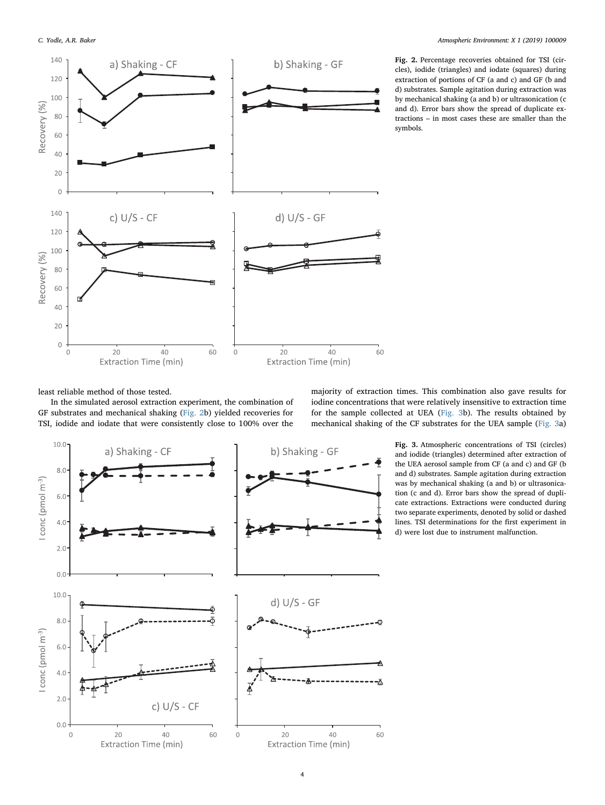<span id="page-3-0"></span>

Fig. 2. Percentage recoveries obtained for TSI (circles), iodide (triangles) and iodate (squares) during extraction of portions of CF (a and c) and GF (b and d) substrates. Sample agitation during extraction was by mechanical shaking (a and b) or ultrasonication (c and d). Error bars show the spread of duplicate extractions – in most cases these are smaller than the symbols.

least reliable method of those tested.

In the simulated aerosol extraction experiment, the combination of GF substrates and mechanical shaking [\(Fig. 2b](#page-3-0)) yielded recoveries for TSI, iodide and iodate that were consistently close to 100% over the

majority of extraction times. This combination also gave results for iodine concentrations that were relatively insensitive to extraction time for the sample collected at UEA [\(Fig. 3b](#page-3-1)). The results obtained by mechanical shaking of the CF substrates for the UEA sample [\(Fig. 3a](#page-3-1))

<span id="page-3-1"></span>

Fig. 3. Atmospheric concentrations of TSI (circles) and iodide (triangles) determined after extraction of the UEA aerosol sample from CF (a and c) and GF (b and d) substrates. Sample agitation during extraction was by mechanical shaking (a and b) or ultrasonication (c and d). Error bars show the spread of duplicate extractions. Extractions were conducted during two separate experiments, denoted by solid or dashed lines. TSI determinations for the first experiment in d) were lost due to instrument malfunction.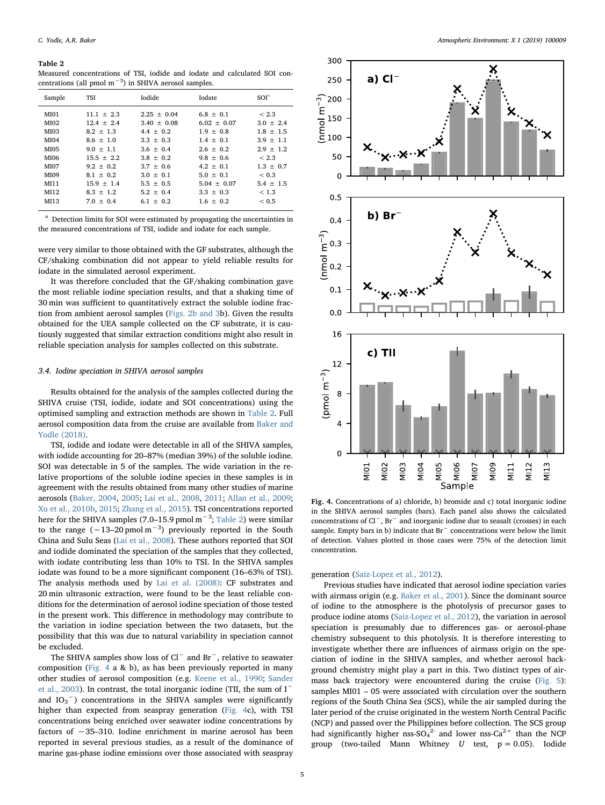#### <span id="page-4-0"></span>Table 2

Measured concentrations of TSI, iodide and iodate and calculated SOI concentrations (all pmol  $m^{-3}$ ) in SHIVA aerosol samples.

| Sample                                                                                      | TSI                                                                                                                                                                             | Iodide                                                                                                                                                                                | Iodate                                                                                                                                                                              | SOI <sup>a</sup>                                                                                                                             |
|---------------------------------------------------------------------------------------------|---------------------------------------------------------------------------------------------------------------------------------------------------------------------------------|---------------------------------------------------------------------------------------------------------------------------------------------------------------------------------------|-------------------------------------------------------------------------------------------------------------------------------------------------------------------------------------|----------------------------------------------------------------------------------------------------------------------------------------------|
| MI01<br>MI02<br>MI03<br>MI04<br>MI05<br>MI06<br><b>MI07</b><br>MI09<br>MI11<br>MI12<br>MI13 | $11.1 + 2.3$<br>$12.4 + 2.4$<br>$8.2 + 1.3$<br>$8.6 \pm 1.0$<br>$9.0 \pm 1.1$<br>$15.5 + 2.2$<br>$9.2 + 0.2$<br>$8.1 \pm 0.2$<br>$15.9 + 1.4$<br>$8.3 \pm 1.2$<br>$7.0 \pm 0.4$ | $2.25 + 0.04$<br>$3.40 \pm 0.08$<br>$4.4 \pm 0.2$<br>$3.3 + 0.3$<br>$3.6 \pm 0.4$<br>$3.8 \pm 0.2$<br>$3.7 \pm 0.6$<br>$3.0 \pm 0.1$<br>$5.5 \pm 0.5$<br>$5.2 \pm 0.4$<br>$6.1 + 0.2$ | $6.8 + 0.1$<br>$6.02 \pm 0.07$<br>$1.9 + 0.8$<br>$1.4 \pm 0.1$<br>$2.6 \pm 0.2$<br>$9.8 + 0.6$<br>$4.2 \pm 0.1$<br>$5.0 \pm 0.1$<br>$5.04 + 0.07$<br>$3.3 \pm 0.3$<br>$1.6 \pm 0.2$ | < 2.3<br>$3.0 \pm 2.4$<br>$1.8 + 1.5$<br>$3.9 + 1.1$<br>$2.9 + 1.2$<br>< 2.3<br>$1.3 + 0.7$<br>< 0.3<br>$5.4 \pm 1.5$<br>< 1.3<br>${}_{0.5}$ |
|                                                                                             |                                                                                                                                                                                 |                                                                                                                                                                                       |                                                                                                                                                                                     |                                                                                                                                              |

<span id="page-4-2"></span> $^{\rm a}$  Detection limits for SOI were estimated by propagating the uncertainties in the measured concentrations of TSI, iodide and iodate for each sample.

were very similar to those obtained with the GF substrates, although the CF/shaking combination did not appear to yield reliable results for iodate in the simulated aerosol experiment.

It was therefore concluded that the GF/shaking combination gave the most reliable iodine speciation results, and that a shaking time of 30 min was sufficient to quantitatively extract the soluble iodine fraction from ambient aerosol samples [\(Figs. 2b and 3b](#page-3-0)). Given the results obtained for the UEA sample collected on the CF substrate, it is cautiously suggested that similar extraction conditions might also result in reliable speciation analysis for samples collected on this substrate.

#### 3.4. Iodine speciation in SHIVA aerosol samples

Results obtained for the analysis of the samples collected during the SHIVA cruise (TSI, iodide, iodate and SOI concentrations) using the optimised sampling and extraction methods are shown in [Table 2](#page-4-0). Full aerosol composition data from the cruise are available from [Baker and](#page-6-20) [Yodle \(2018\)](#page-6-20).

TSI, iodide and iodate were detectable in all of the SHIVA samples, with iodide accounting for 20–87% (median 39%) of the soluble iodine. SOI was detectable in 5 of the samples. The wide variation in the relative proportions of the soluble iodine species in these samples is in agreement with the results obtained from many other studies of marine aerosols ([Baker, 2004,](#page-6-16) [2005;](#page-6-9) [Lai et al., 2008,](#page-6-11) [2011](#page-6-21); [Allan et al., 2009](#page-5-1); [Xu et al., 2010b](#page-6-17), [2015;](#page-6-14) [Zhang et al., 2015\)](#page-6-13). TSI concentrations reported here for the SHIVA samples (7.0–15.9 pmol m<sup>-3</sup>; [Table 2](#page-4-0)) were similar to the range ( $\sim$ 13–20 pmol m<sup>-3</sup>) previously reported in the South China and Sulu Seas ([Lai et al., 2008\)](#page-6-11). These authors reported that SOI and iodide dominated the speciation of the samples that they collected, with iodate contributing less than 10% to TSI. In the SHIVA samples iodate was found to be a more significant component (16–63% of TSI). The analysis methods used by [Lai et al. \(2008\):](#page-6-11) CF substrates and 20 min ultrasonic extraction, were found to be the least reliable conditions for the determination of aerosol iodine speciation of those tested in the present work. This difference in methodology may contribute to the variation in iodine speciation between the two datasets, but the possibility that this was due to natural variability in speciation cannot be excluded.

The SHIVA samples show loss of Cl<sup>−</sup> and Br−, relative to seawater composition [\(Fig. 4](#page-4-1) a & b), as has been previously reported in many other studies of aerosol composition (e.g. [Keene et al., 1990;](#page-6-22) [Sander](#page-6-23) [et al., 2003](#page-6-23)). In contrast, the total inorganic iodine (TII, the sum of I<sup>−</sup> and  $IO_3^-$ ) concentrations in the SHIVA samples were significantly higher than expected from seaspray generation [\(Fig. 4](#page-4-1)c), with TSI concentrations being enriched over seawater iodine concentrations by factors of ∼35–310. Iodine enrichment in marine aerosol has been reported in several previous studies, as a result of the dominance of marine gas-phase iodine emissions over those associated with seaspray

<span id="page-4-1"></span>

Fig. 4. Concentrations of a) chloride, b) bromide and c) total inorganic iodine in the SHIVA aerosol samples (bars). Each panel also shows the calculated concentrations of Cl−, Br<sup>−</sup> and inorganic iodine due to seasalt (crosses) in each sample. Empty bars in b) indicate that Br<sup>−</sup> concentrations were below the limit of detection. Values plotted in those cases were 75% of the detection limit concentration.

generation ([Saiz-Lopez et al., 2012\)](#page-6-0).

Previous studies have indicated that aerosol iodine speciation varies with airmass origin (e.g. [Baker et al., 2001](#page-6-15)). Since the dominant source of iodine to the atmosphere is the photolysis of precursor gases to produce iodine atoms [\(Saiz-Lopez et al., 2012\)](#page-6-0), the variation in aerosol speciation is presumably due to differences gas- or aerosol-phase chemistry subsequent to this photolysis. It is therefore interesting to investigate whether there are influences of airmass origin on the speciation of iodine in the SHIVA samples, and whether aerosol background chemistry might play a part in this. Two distinct types of airmass back trajectory were encountered during the cruise [\(Fig. 5](#page-5-2)): samples MI01 – 05 were associated with circulation over the southern regions of the South China Sea (SCS), while the air sampled during the later period of the cruise originated in the western North Central Pacific (NCP) and passed over the Philippines before collection. The SCS group had significantly higher nss-SO<sub>4</sub><sup>2</sup> and lower nss-Ca<sup>2+</sup> than the NCP group (two-tailed Mann Whitney  $U$  test,  $p = 0.05$ ). Iodide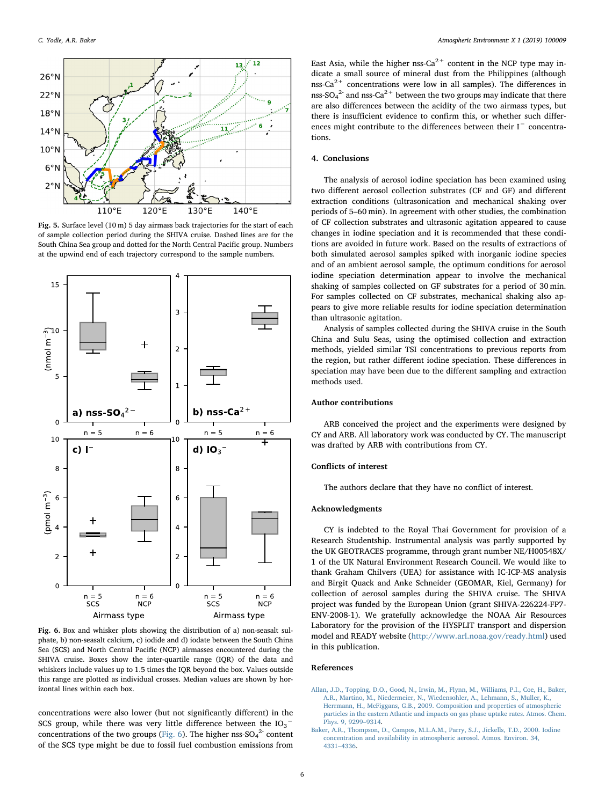<span id="page-5-2"></span>

Fig. 5. Surface level (10 m) 5 day airmass back trajectories for the start of each of sample collection period during the SHIVA cruise. Dashed lines are for the South China Sea group and dotted for the North Central Pacific group. Numbers at the upwind end of each trajectory correspond to the sample numbers.

<span id="page-5-3"></span>

Fig. 6. Box and whisker plots showing the distribution of a) non-seasalt sulphate, b) non-seasalt calcium, c) iodide and d) iodate between the South China Sea (SCS) and North Central Pacific (NCP) airmasses encountered during the SHIVA cruise. Boxes show the inter-quartile range (IQR) of the data and whiskers include values up to 1.5 times the IQR beyond the box. Values outside this range are plotted as individual crosses. Median values are shown by horizontal lines within each box.

concentrations were also lower (but not significantly different) in the SCS group, while there was very little difference between the  $IO_{3}^-$ concentrations of the two groups [\(Fig. 6](#page-5-3)). The higher nss- $SO_4^2$  content of the SCS type might be due to fossil fuel combustion emissions from

East Asia, while the higher nss- $Ca^{2+}$  content in the NCP type may indicate a small source of mineral dust from the Philippines (although nss-Ca<sup>2+</sup> concentrations were low in all samples). The differences in nss-SO<sub>4</sub><sup>2-</sup> and nss-Ca<sup>2+</sup> between the two groups may indicate that there are also differences between the acidity of the two airmass types, but there is insufficient evidence to confirm this, or whether such differences might contribute to the differences between their I<sup>−</sup> concentrations.

# 4. Conclusions

The analysis of aerosol iodine speciation has been examined using two different aerosol collection substrates (CF and GF) and different extraction conditions (ultrasonication and mechanical shaking over periods of 5–60 min). In agreement with other studies, the combination of CF collection substrates and ultrasonic agitation appeared to cause changes in iodine speciation and it is recommended that these conditions are avoided in future work. Based on the results of extractions of both simulated aerosol samples spiked with inorganic iodine species and of an ambient aerosol sample, the optimum conditions for aerosol iodine speciation determination appear to involve the mechanical shaking of samples collected on GF substrates for a period of 30 min. For samples collected on CF substrates, mechanical shaking also appears to give more reliable results for iodine speciation determination than ultrasonic agitation.

Analysis of samples collected during the SHIVA cruise in the South China and Sulu Seas, using the optimised collection and extraction methods, yielded similar TSI concentrations to previous reports from the region, but rather different iodine speciation. These differences in speciation may have been due to the different sampling and extraction methods used.

### Author contributions

ARB conceived the project and the experiments were designed by CY and ARB. All laboratory work was conducted by CY. The manuscript was drafted by ARB with contributions from CY.

#### Conflicts of interest

The authors declare that they have no conflict of interest.

#### Acknowledgments

CY is indebted to the Royal Thai Government for provision of a Research Studentship. Instrumental analysis was partly supported by the UK GEOTRACES programme, through grant number NE/H00548X/ 1 of the UK Natural Environment Research Council. We would like to thank Graham Chilvers (UEA) for assistance with IC-ICP-MS analysis and Birgit Quack and Anke Schneider (GEOMAR, Kiel, Germany) for collection of aerosol samples during the SHIVA cruise. The SHIVA project was funded by the European Union (grant SHIVA-226224-FP7- ENV-2008-1). We gratefully acknowledge the NOAA Air Resources Laboratory for the provision of the HYSPLIT transport and dispersion model and READY website [\(http://www.arl.noaa.gov/ready.html\)](http://www.arl.noaa.gov/ready.html) used in this publication.

#### References

<span id="page-5-1"></span>[Allan, J.D., Topping, D.O., Good, N., Irwin, M., Flynn, M., Williams, P.I., Coe, H., Baker,](http://refhub.elsevier.com/S2590-1621(19)30012-7/sref1) [A.R., Martino, M., Niedermeier, N., Wiedensohler, A., Lehmann, S., Muller, K.,](http://refhub.elsevier.com/S2590-1621(19)30012-7/sref1) [Herrmann, H., McFiggans, G.B., 2009. Composition and properties of atmospheric](http://refhub.elsevier.com/S2590-1621(19)30012-7/sref1) [particles in the eastern Atlantic and impacts on gas phase uptake rates. Atmos. Chem.](http://refhub.elsevier.com/S2590-1621(19)30012-7/sref1) [Phys. 9, 9299](http://refhub.elsevier.com/S2590-1621(19)30012-7/sref1)–9314.

<span id="page-5-0"></span>[Baker, A.R., Thompson, D., Campos, M.L.A.M., Parry, S.J., Jickells, T.D., 2000. Iodine](http://refhub.elsevier.com/S2590-1621(19)30012-7/sref2) [concentration and availability in atmospheric aerosol. Atmos. Environ. 34,](http://refhub.elsevier.com/S2590-1621(19)30012-7/sref2) 4331–[4336](http://refhub.elsevier.com/S2590-1621(19)30012-7/sref2).